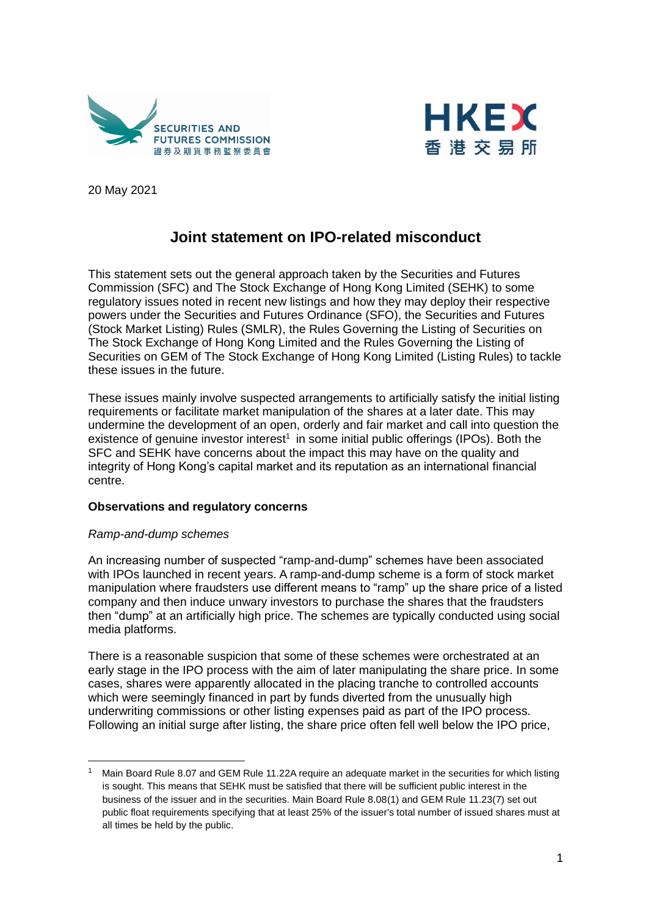



20 May 2021

# **Joint statement on IPO-related misconduct**

This statement sets out the general approach taken by the Securities and Futures Commission (SFC) and The Stock Exchange of Hong Kong Limited (SEHK) to some regulatory issues noted in recent new listings and how they may deploy their respective powers under the Securities and Futures Ordinance (SFO), the Securities and Futures (Stock Market Listing) Rules (SMLR), the Rules Governing the Listing of Securities on The Stock Exchange of Hong Kong Limited and the Rules Governing the Listing of Securities on GEM of The Stock Exchange of Hong Kong Limited (Listing Rules) to tackle these issues in the future.

These issues mainly involve suspected arrangements to artificially satisfy the initial listing requirements or facilitate market manipulation of the shares at a later date. This may undermine the development of an open, orderly and fair market and call into question the existence of genuine investor interest<sup>1</sup> in some initial public offerings (IPOs). Both the SFC and SEHK have concerns about the impact this may have on the quality and integrity of Hong Kong's capital market and its reputation as an international financial centre.

### **Observations and regulatory concerns**

### *Ramp-and-dump schemes*

-

An increasing number of suspected "ramp-and-dump" schemes have been associated with IPOs launched in recent years. A ramp-and-dump scheme is a form of stock market manipulation where fraudsters use different means to "ramp" up the share price of a listed company and then induce unwary investors to purchase the shares that the fraudsters then "dump" at an artificially high price. The schemes are typically conducted using social media platforms.

There is a reasonable suspicion that some of these schemes were orchestrated at an early stage in the IPO process with the aim of later manipulating the share price. In some cases, shares were apparently allocated in the placing tranche to controlled accounts which were seemingly financed in part by funds diverted from the unusually high underwriting commissions or other listing expenses paid as part of the IPO process. Following an initial surge after listing, the share price often fell well below the IPO price,

<sup>&</sup>lt;sup>1</sup> Main Board Rule 8.07 and GEM Rule 11.22A require an adequate market in the securities for which listing is sought. This means that SEHK must be satisfied that there will be sufficient public interest in the business of the issuer and in the securities. Main Board Rule 8.08(1) and GEM Rule 11.23(7) set out public float requirements specifying that at least 25% of the issuer's total number of issued shares must at all times be held by the public.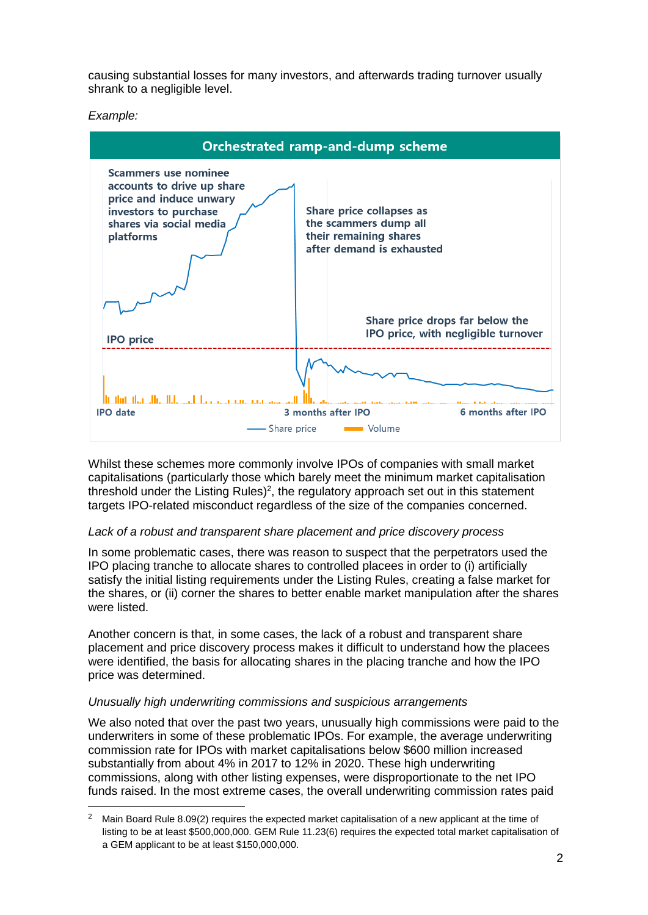causing substantial losses for many investors, and afterwards trading turnover usually shrank to a negligible level.

*Example:* 

-



Whilst these schemes more commonly involve IPOs of companies with small market capitalisations (particularly those which barely meet the minimum market capitalisation threshold under the Listing Rules)<sup>2</sup>, the regulatory approach set out in this statement targets IPO-related misconduct regardless of the size of the companies concerned.

# *Lack of a robust and transparent share placement and price discovery process*

In some problematic cases, there was reason to suspect that the perpetrators used the IPO placing tranche to allocate shares to controlled placees in order to (i) artificially satisfy the initial listing requirements under the Listing Rules, creating a false market for the shares, or (ii) corner the shares to better enable market manipulation after the shares were listed.

Another concern is that, in some cases, the lack of a robust and transparent share placement and price discovery process makes it difficult to understand how the placees were identified, the basis for allocating shares in the placing tranche and how the IPO price was determined.

# *Unusually high underwriting commissions and suspicious arrangements*

We also noted that over the past two years, unusually high commissions were paid to the underwriters in some of these problematic IPOs. For example, the average underwriting commission rate for IPOs with market capitalisations below \$600 million increased substantially from about 4% in 2017 to 12% in 2020. These high underwriting commissions, along with other listing expenses, were disproportionate to the net IPO funds raised. In the most extreme cases, the overall underwriting commission rates paid

<sup>&</sup>lt;sup>2</sup> Main Board Rule 8.09(2) requires the expected market capitalisation of a new applicant at the time of listing to be at least \$500,000,000. GEM Rule 11.23(6) requires the expected total market capitalisation of a GEM applicant to be at least \$150,000,000.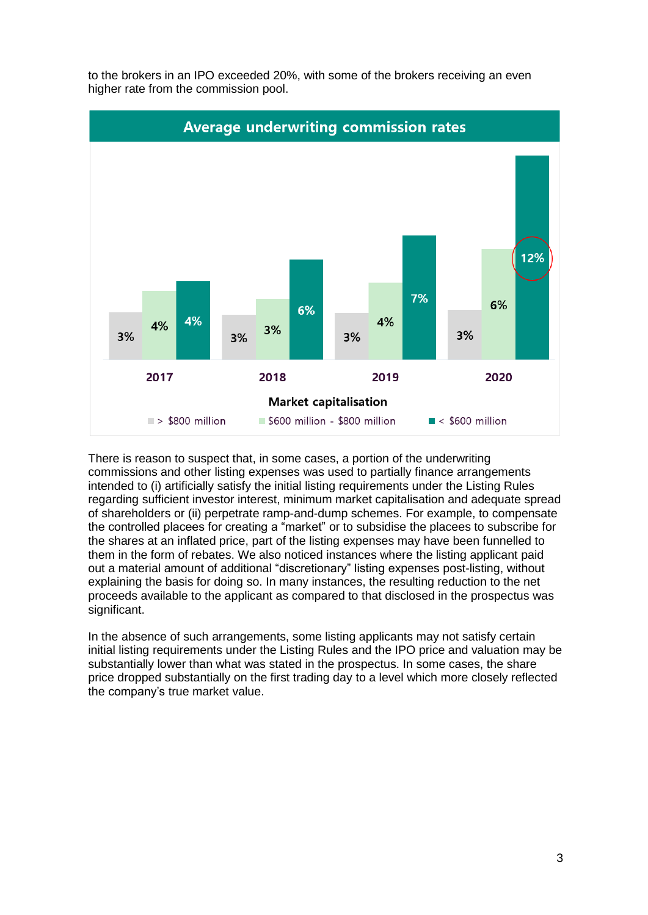

to the brokers in an IPO exceeded 20%, with some of the brokers receiving an even higher rate from the commission pool.

There is reason to suspect that, in some cases, a portion of the underwriting commissions and other listing expenses was used to partially finance arrangements intended to (i) artificially satisfy the initial listing requirements under the Listing Rules regarding sufficient investor interest, minimum market capitalisation and adequate spread of shareholders or (ii) perpetrate ramp-and-dump schemes. For example, to compensate the controlled placees for creating a "market" or to subsidise the placees to subscribe for the shares at an inflated price, part of the listing expenses may have been funnelled to them in the form of rebates. We also noticed instances where the listing applicant paid out a material amount of additional "discretionary" listing expenses post-listing, without explaining the basis for doing so. In many instances, the resulting reduction to the net proceeds available to the applicant as compared to that disclosed in the prospectus was significant.

In the absence of such arrangements, some listing applicants may not satisfy certain initial listing requirements under the Listing Rules and the IPO price and valuation may be substantially lower than what was stated in the prospectus. In some cases, the share price dropped substantially on the first trading day to a level which more closely reflected the company's true market value.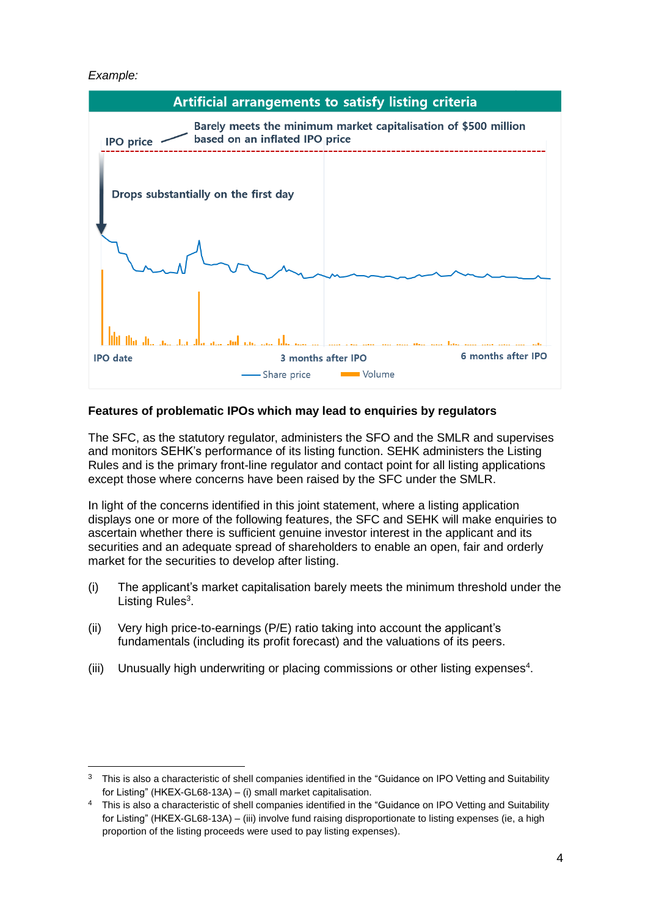### *Example:*

-



## **Features of problematic IPOs which may lead to enquiries by regulators**

The SFC, as the statutory regulator, administers the SFO and the SMLR and supervises and monitors SEHK's performance of its listing function. SEHK administers the Listing Rules and is the primary front-line regulator and contact point for all listing applications except those where concerns have been raised by the SFC under the SMLR.

In light of the concerns identified in this joint statement, where a listing application displays one or more of the following features, the SFC and SEHK will make enquiries to ascertain whether there is sufficient genuine investor interest in the applicant and its securities and an adequate spread of shareholders to enable an open, fair and orderly market for the securities to develop after listing.

- (i) The applicant's market capitalisation barely meets the minimum threshold under the Listing Rules<sup>3</sup>.
- (ii) Very high price-to-earnings (P/E) ratio taking into account the applicant's fundamentals (including its profit forecast) and the valuations of its peers.
- (iii) Unusually high underwriting or placing commissions or other listing expenses<sup>4</sup>.

 $3$  This is also a characteristic of shell companies identified in the "Guidance on IPO Vetting and Suitability for Listing" (HKEX-GL68-13A) – (i) small market capitalisation.

<sup>4</sup> This is also a characteristic of shell companies identified in the "Guidance on IPO Vetting and Suitability for Listing" (HKEX-GL68-13A) – (iii) involve fund raising disproportionate to listing expenses (ie, a high proportion of the listing proceeds were used to pay listing expenses).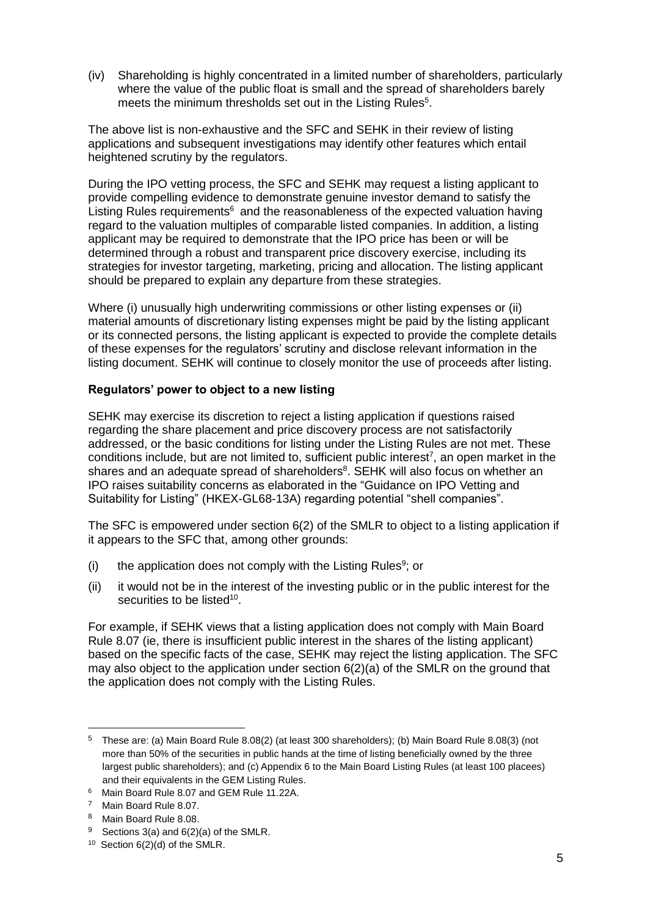(iv) Shareholding is highly concentrated in a limited number of shareholders, particularly where the value of the public float is small and the spread of shareholders barely meets the minimum thresholds set out in the Listing Rules<sup>5</sup>.

The above list is non-exhaustive and the SFC and SEHK in their review of listing applications and subsequent investigations may identify other features which entail heightened scrutiny by the regulators.

During the IPO vetting process, the SFC and SEHK may request a listing applicant to provide compelling evidence to demonstrate genuine investor demand to satisfy the Listing Rules requirements<sup>6</sup> and the reasonableness of the expected valuation having regard to the valuation multiples of comparable listed companies. In addition, a listing applicant may be required to demonstrate that the IPO price has been or will be determined through a robust and transparent price discovery exercise, including its strategies for investor targeting, marketing, pricing and allocation. The listing applicant should be prepared to explain any departure from these strategies.

Where (i) unusually high underwriting commissions or other listing expenses or (ii) material amounts of discretionary listing expenses might be paid by the listing applicant or its connected persons, the listing applicant is expected to provide the complete details of these expenses for the regulators' scrutiny and disclose relevant information in the listing document. SEHK will continue to closely monitor the use of proceeds after listing.

## **Regulators' power to object to a new listing**

SEHK may exercise its discretion to reject a listing application if questions raised regarding the share placement and price discovery process are not satisfactorily addressed, or the basic conditions for listing under the Listing Rules are not met. These conditions include, but are not limited to, sufficient public interest<sup>7</sup>, an open market in the shares and an adequate spread of shareholders $8$ . SEHK will also focus on whether an IPO raises suitability concerns as elaborated in the "Guidance on IPO Vetting and Suitability for Listing" (HKEX-GL68-13A) regarding potential "shell companies".

The SFC is empowered under section 6(2) of the SMLR to object to a listing application if it appears to the SFC that, among other grounds:

- $(i)$  the application does not comply with the Listing Rules<sup>9</sup>; or
- (ii) it would not be in the interest of the investing public or in the public interest for the securities to be listed<sup>10</sup>.

For example, if SEHK views that a listing application does not comply with Main Board Rule 8.07 (ie, there is insufficient public interest in the shares of the listing applicant) based on the specific facts of the case, SEHK may reject the listing application. The SFC may also object to the application under section  $6(2)(a)$  of the SMLR on the ground that the application does not comply with the Listing Rules.

-

<sup>5</sup> These are: (a) Main Board Rule 8.08(2) (at least 300 shareholders); (b) Main Board Rule 8.08(3) (not more than 50% of the securities in public hands at the time of listing beneficially owned by the three largest public shareholders); and (c) Appendix 6 to the Main Board Listing Rules (at least 100 placees) and their equivalents in the GEM Listing Rules.

<sup>6</sup> Main Board Rule 8.07 and GEM Rule 11.22A.

<sup>7</sup> Main Board Rule 8.07.

<sup>8</sup> Main Board Rule 8.08.

<sup>&</sup>lt;sup>9</sup> Sections 3(a) and  $6(2)(a)$  of the SMLR.

<sup>10</sup> Section 6(2)(d) of the SMLR.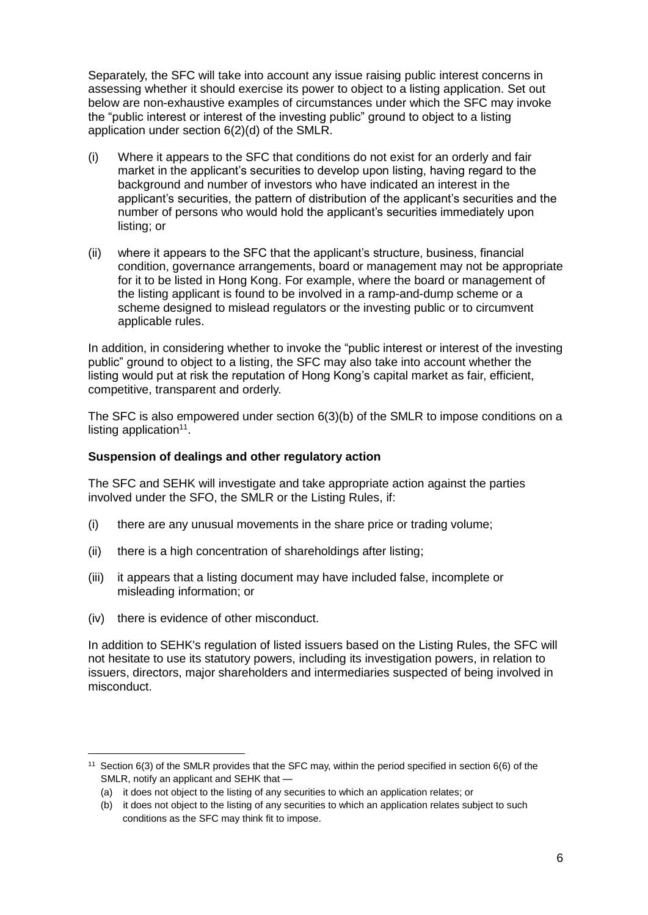Separately, the SFC will take into account any issue raising public interest concerns in assessing whether it should exercise its power to object to a listing application. Set out below are non-exhaustive examples of circumstances under which the SFC may invoke the "public interest or interest of the investing public" ground to object to a listing application under section 6(2)(d) of the SMLR.

- (i) Where it appears to the SFC that conditions do not exist for an orderly and fair market in the applicant's securities to develop upon listing, having regard to the background and number of investors who have indicated an interest in the applicant's securities, the pattern of distribution of the applicant's securities and the number of persons who would hold the applicant's securities immediately upon listing; or
- (ii) where it appears to the SFC that the applicant's structure, business, financial condition, governance arrangements, board or management may not be appropriate for it to be listed in Hong Kong. For example, where the board or management of the listing applicant is found to be involved in a ramp-and-dump scheme or a scheme designed to mislead regulators or the investing public or to circumvent applicable rules.

In addition, in considering whether to invoke the "public interest or interest of the investing public" ground to object to a listing, the SFC may also take into account whether the listing would put at risk the reputation of Hong Kong's capital market as fair, efficient, competitive, transparent and orderly.

The SFC is also empowered under section 6(3)(b) of the SMLR to impose conditions on a listing application $11$ .

## **Suspension of dealings and other regulatory action**

The SFC and SEHK will investigate and take appropriate action against the parties involved under the SFO, the SMLR or the Listing Rules, if:

- (i) there are any unusual movements in the share price or trading volume;
- (ii) there is a high concentration of shareholdings after listing;
- (iii) it appears that a listing document may have included false, incomplete or misleading information; or
- (iv) there is evidence of other misconduct.

-

In addition to SEHK's regulation of listed issuers based on the Listing Rules, the SFC will not hesitate to use its statutory powers, including its investigation powers, in relation to issuers, directors, major shareholders and intermediaries suspected of being involved in misconduct.

<sup>&</sup>lt;sup>11</sup> Section  $6(3)$  of the SMLR provides that the SFC may, within the period specified in section  $6(6)$  of the SMLR, notify an applicant and SEHK that —

<sup>(</sup>a) it does not object to the listing of any securities to which an application relates; or

<sup>(</sup>b) it does not object to the listing of any securities to which an application relates subject to such conditions as the SFC may think fit to impose.